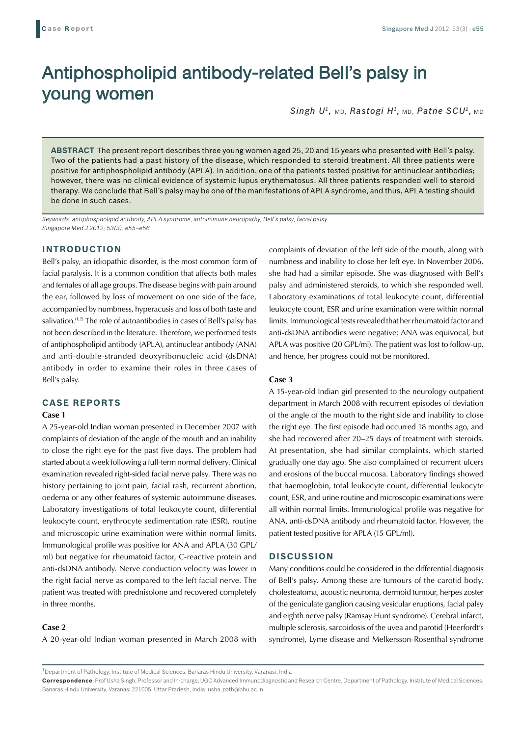# Antiphospholipid antibody-related Bell's palsy in young women

*Singh U1,* MD, *Rastogi H1,* MD, *Patne SCU1,* MD

**ABSTRACT** The present report describes three young women aged 25, 20 and 15 years who presented with Bell's palsy. Two of the patients had a past history of the disease, which responded to steroid treatment. All three patients were positive for antiphospholipid antibody (APLA). In addition, one of the patients tested positive for antinuclear antibodies; however, there was no clinical evidence of systemic lupus erythematosus. All three patients responded well to steroid therapy. We conclude that Bell's palsy may be one of the manifestations of APLA syndrome, and thus, APLA testing should be done in such cases.

*Keywords: antiphospholipid antibody, APLA syndrome, autoimmune neuropathy, Bell's palsy, facial palsy Singapore Med J 2012; 53(3): e55–e56*

## **INTRODUCTION**

Bell's palsy, an idiopathic disorder, is the most common form of facial paralysis. It is a common condition that affects both males and females of all age groups. The disease begins with pain around the ear, followed by loss of movement on one side of the face, accompanied by numbness, hyperacusis and loss of both taste and salivation.<sup>(1,2)</sup> The role of autoantibodies in cases of Bell's palsy has not been described in the literature. Therefore, we performed tests of antiphospholipid antibody (APLA), antinuclear antibody (ANA) and anti-double-stranded deoxyribonucleic acid (dsDNA) antibody in order to examine their roles in three cases of Bell's palsy.

## **CASE REPORTS**

#### **Case 1**

A 25-year-old Indian woman presented in December 2007 with complaints of deviation of the angle of the mouth and an inability to close the right eye for the past five days. The problem had started about a week following a full-term normal delivery. Clinical examination revealed right-sided facial nerve palsy. There was no history pertaining to joint pain, facial rash, recurrent abortion, oedema or any other features of systemic autoimmune diseases. Laboratory investigations of total leukocyte count, differential leukocyte count, erythrocyte sedimentation rate (ESR), routine and microscopic urine examination were within normal limits. Immunological profile was positive for ANA and APLA (30 GPL/ ml) but negative for rheumatoid factor, C-reactive protein and anti-dsDNA antibody. Nerve conduction velocity was lower in the right facial nerve as compared to the left facial nerve. The patient was treated with prednisolone and recovered completely in three months.

### **Case 2**

A 20-year-old Indian woman presented in March 2008 with

complaints of deviation of the left side of the mouth, along with numbness and inability to close her left eye. In November 2006, she had had a similar episode. She was diagnosed with Bell's palsy and administered steroids, to which she responded well. Laboratory examinations of total leukocyte count, differential leukocyte count, ESR and urine examination were within normal limits. Immunological tests revealed that her rheumatoid factor and anti-dsDNA antibodies were negative; ANA was equivocal, but APLA was positive (20 GPL/ml). The patient was lost to follow-up, and hence, her progress could not be monitored.

#### **Case 3**

A 15-year-old Indian girl presented to the neurology outpatient department in March 2008 with recurrent episodes of deviation of the angle of the mouth to the right side and inability to close the right eye. The first episode had occurred 18 months ago, and she had recovered after 20–25 days of treatment with steroids. At presentation, she had similar complaints, which started gradually one day ago. She also complained of recurrent ulcers and erosions of the buccal mucosa. Laboratory findings showed that haemoglobin, total leukocyte count, differential leukocyte count, ESR, and urine routine and microscopic examinations were all within normal limits. Immunological profile was negative for ANA, anti-dsDNA antibody and rheumatoid factor. However, the patient tested positive for APLA (15 GPL/ml).

#### **DISCUSSION**

Many conditions could be considered in the differential diagnosis of Bell's palsy. Among these are tumours of the carotid body, cholesteatoma, acoustic neuroma, dermoid tumour, herpes zoster of the geniculate ganglion causing vesicular eruptions, facial palsy and eighth nerve palsy (Ramsay Hunt syndrome). Cerebral infarct, multiple sclerosis, sarcoidosis of the uvea and parotid (Heerfordt's syndrome), Lyme disease and Melkersson-Rosenthal syndrome

 $^{\rm 1}$ Department of Pathology, Institute of Medical Sciences, Banaras Hindu University, Varanasi, India

**Correspondence**: Prof Usha Singh, Professor and In-charge, UGC Advanced Immunodiagnostic and Research Centre, Department of Pathology, Institute of Medical Sciences, Banaras Hindu University, Varanasi 221005, Uttar Pradesh, India. usha\_path@bhu.ac.in